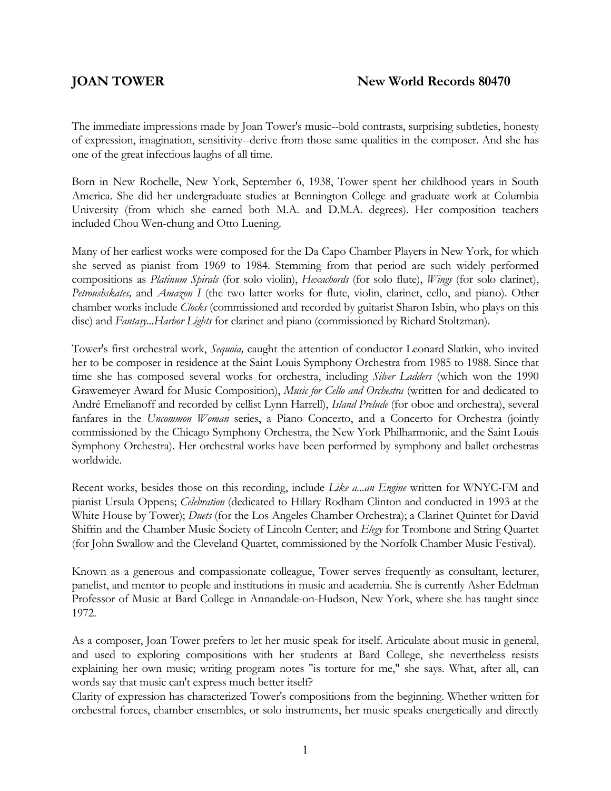## **JOAN TOWER** New World Records 80470

The immediate impressions made by Joan Tower's music--bold contrasts, surprising subtleties, honesty of expression, imagination, sensitivity--derive from those same qualities in the composer. And she has one of the great infectious laughs of all time.

Born in New Rochelle, New York, September 6, 1938, Tower spent her childhood years in South America. She did her undergraduate studies at Bennington College and graduate work at Columbia University (from which she earned both M.A. and D.M.A. degrees). Her composition teachers included Chou Wen-chung and Otto Luening.

Many of her earliest works were composed for the Da Capo Chamber Players in New York, for which she served as pianist from 1969 to 1984. Stemming from that period are such widely performed compositions as *Platinum Spirals* (for solo violin), *Hexachords* (for solo flute), *Wings* (for solo clarinet), *Petroushskates,* and *Amazon I* (the two latter works for flute, violin, clarinet, cello, and piano). Other chamber works include *Clocks* (commissioned and recorded by guitarist Sharon Isbin, who plays on this disc) and *Fantasy...Harbor Lights* for clarinet and piano (commissioned by Richard Stoltzman).

Tower's first orchestral work, *Sequoia,* caught the attention of conductor Leonard Slatkin, who invited her to be composer in residence at the Saint Louis Symphony Orchestra from 1985 to 1988. Since that time she has composed several works for orchestra, including *Silver Ladders* (which won the 1990 Grawemeyer Award for Music Composition), *Music for Cello and Orchestra* (written for and dedicated to André Emelianoff and recorded by cellist Lynn Harrell), *Island Prelude* (for oboe and orchestra), several fanfares in the *Uncommon Woman* series, a Piano Concerto, and a Concerto for Orchestra (jointly commissioned by the Chicago Symphony Orchestra, the New York Philharmonic, and the Saint Louis Symphony Orchestra). Her orchestral works have been performed by symphony and ballet orchestras worldwide.

Recent works, besides those on this recording, include *Like a...an Engine* written for WNYC-FM and pianist Ursula Oppens; *Celebration* (dedicated to Hillary Rodham Clinton and conducted in 1993 at the White House by Tower); *Duets* (for the Los Angeles Chamber Orchestra); a Clarinet Quintet for David Shifrin and the Chamber Music Society of Lincoln Center; and *Elegy* for Trombone and String Quartet (for John Swallow and the Cleveland Quartet, commissioned by the Norfolk Chamber Music Festival).

Known as a generous and compassionate colleague, Tower serves frequently as consultant, lecturer, panelist, and mentor to people and institutions in music and academia. She is currently Asher Edelman Professor of Music at Bard College in Annandale-on-Hudson, New York, where she has taught since 1972.

As a composer, Joan Tower prefers to let her music speak for itself. Articulate about music in general, and used to exploring compositions with her students at Bard College, she nevertheless resists explaining her own music; writing program notes "is torture for me," she says. What, after all, can words say that music can't express much better itself?

Clarity of expression has characterized Tower's compositions from the beginning. Whether written for orchestral forces, chamber ensembles, or solo instruments, her music speaks energetically and directly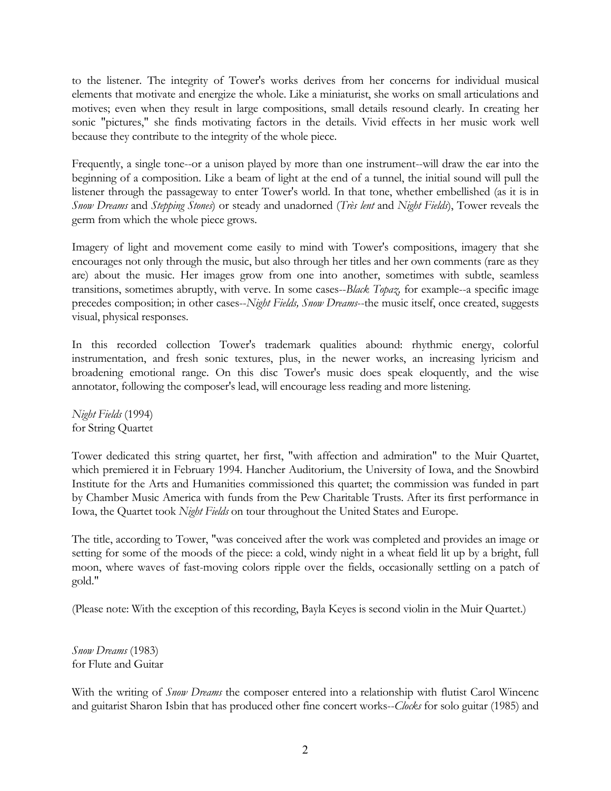to the listener. The integrity of Tower's works derives from her concerns for individual musical elements that motivate and energize the whole. Like a miniaturist, she works on small articulations and motives; even when they result in large compositions, small details resound clearly. In creating her sonic "pictures," she finds motivating factors in the details. Vivid effects in her music work well because they contribute to the integrity of the whole piece.

Frequently, a single tone--or a unison played by more than one instrument--will draw the ear into the beginning of a composition. Like a beam of light at the end of a tunnel, the initial sound will pull the listener through the passageway to enter Tower's world. In that tone, whether embellished (as it is in *Snow Dreams* and *Stepping Stones*) or steady and unadorned (*Très lent* and *Night Fields*), Tower reveals the germ from which the whole piece grows.

Imagery of light and movement come easily to mind with Tower's compositions, imagery that she encourages not only through the music, but also through her titles and her own comments (rare as they are) about the music. Her images grow from one into another, sometimes with subtle, seamless transitions, sometimes abruptly, with verve. In some cases--*Black Topaz,* for example--a specific image precedes composition; in other cases--*Night Fields, Snow Dreams*--the music itself, once created, suggests visual, physical responses.

In this recorded collection Tower's trademark qualities abound: rhythmic energy, colorful instrumentation, and fresh sonic textures, plus, in the newer works, an increasing lyricism and broadening emotional range. On this disc Tower's music does speak eloquently, and the wise annotator, following the composer's lead, will encourage less reading and more listening.

*Night Fields* (1994) for String Quartet

Tower dedicated this string quartet, her first, "with affection and admiration" to the Muir Quartet, which premiered it in February 1994. Hancher Auditorium, the University of Iowa, and the Snowbird Institute for the Arts and Humanities commissioned this quartet; the commission was funded in part by Chamber Music America with funds from the Pew Charitable Trusts. After its first performance in Iowa, the Quartet took *Night Fields* on tour throughout the United States and Europe.

The title, according to Tower, "was conceived after the work was completed and provides an image or setting for some of the moods of the piece: a cold, windy night in a wheat field lit up by a bright, full moon, where waves of fast-moving colors ripple over the fields, occasionally settling on a patch of gold."

(Please note: With the exception of this recording, Bayla Keyes is second violin in the Muir Quartet.)

*Snow Dreams* (1983) for Flute and Guitar

With the writing of *Snow Dreams* the composer entered into a relationship with flutist Carol Wincenc and guitarist Sharon Isbin that has produced other fine concert works--*Clocks* for solo guitar (1985) and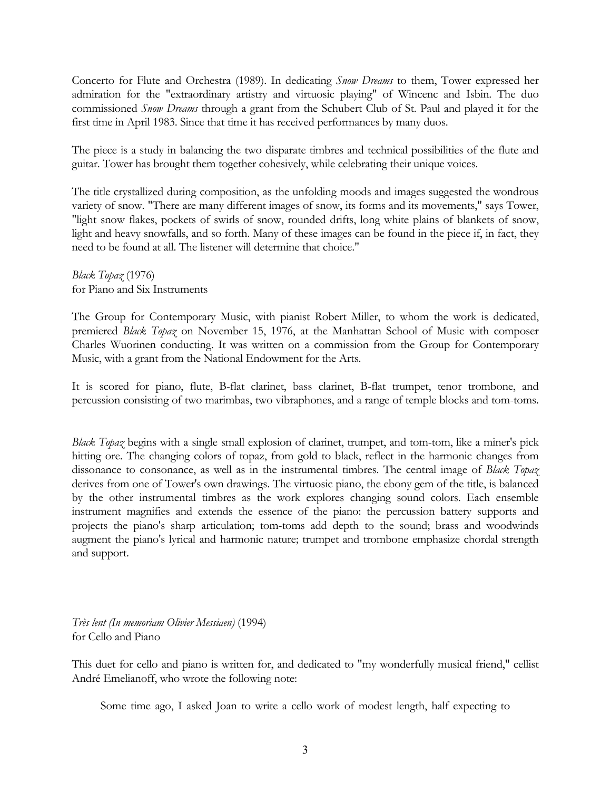Concerto for Flute and Orchestra (1989). In dedicating *Snow Dreams* to them, Tower expressed her admiration for the "extraordinary artistry and virtuosic playing" of Wincenc and Isbin. The duo commissioned *Snow Dreams* through a grant from the Schubert Club of St. Paul and played it for the first time in April 1983. Since that time it has received performances by many duos.

The piece is a study in balancing the two disparate timbres and technical possibilities of the flute and guitar. Tower has brought them together cohesively, while celebrating their unique voices.

The title crystallized during composition, as the unfolding moods and images suggested the wondrous variety of snow. "There are many different images of snow, its forms and its movements," says Tower, "light snow flakes, pockets of swirls of snow, rounded drifts, long white plains of blankets of snow, light and heavy snowfalls, and so forth. Many of these images can be found in the piece if, in fact, they need to be found at all. The listener will determine that choice."

*Black Topaz* (1976) for Piano and Six Instruments

The Group for Contemporary Music, with pianist Robert Miller, to whom the work is dedicated, premiered *Black Topaz* on November 15, 1976, at the Manhattan School of Music with composer Charles Wuorinen conducting. It was written on a commission from the Group for Contemporary Music, with a grant from the National Endowment for the Arts.

It is scored for piano, flute, B-flat clarinet, bass clarinet, B-flat trumpet, tenor trombone, and percussion consisting of two marimbas, two vibraphones, and a range of temple blocks and tom-toms.

*Black Topaz* begins with a single small explosion of clarinet, trumpet, and tom-tom, like a miner's pick hitting ore. The changing colors of topaz, from gold to black, reflect in the harmonic changes from dissonance to consonance, as well as in the instrumental timbres. The central image of *Black Topaz* derives from one of Tower's own drawings. The virtuosic piano, the ebony gem of the title, is balanced by the other instrumental timbres as the work explores changing sound colors. Each ensemble instrument magnifies and extends the essence of the piano: the percussion battery supports and projects the piano's sharp articulation; tom-toms add depth to the sound; brass and woodwinds augment the piano's lyrical and harmonic nature; trumpet and trombone emphasize chordal strength and support.

*Très lent (In memoriam Olivier Messiaen)* (1994) for Cello and Piano

This duet for cello and piano is written for, and dedicated to "my wonderfully musical friend," cellist André Emelianoff, who wrote the following note:

Some time ago, I asked Joan to write a cello work of modest length, half expecting to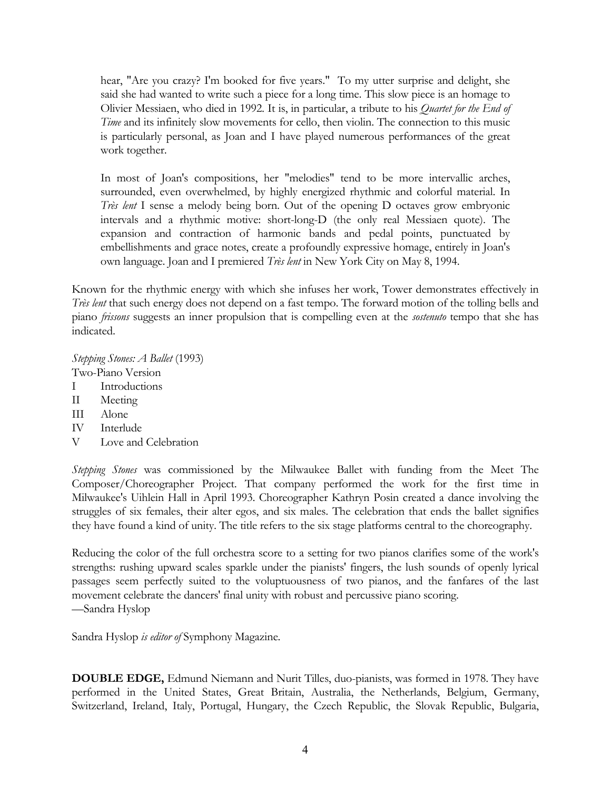hear, "Are you crazy? I'm booked for five years." To my utter surprise and delight, she said she had wanted to write such a piece for a long time. This slow piece is an homage to Olivier Messiaen, who died in 1992. It is, in particular, a tribute to his *Quartet for the End of Time* and its infinitely slow movements for cello, then violin. The connection to this music is particularly personal, as Joan and I have played numerous performances of the great work together.

In most of Joan's compositions, her "melodies" tend to be more intervallic arches, surrounded, even overwhelmed, by highly energized rhythmic and colorful material. In *Très lent* I sense a melody being born. Out of the opening D octaves grow embryonic intervals and a rhythmic motive: short-long-D (the only real Messiaen quote). The expansion and contraction of harmonic bands and pedal points, punctuated by embellishments and grace notes, create a profoundly expressive homage, entirely in Joan's own language. Joan and I premiered *Très lent* in New York City on May 8, 1994.

Known for the rhythmic energy with which she infuses her work, Tower demonstrates effectively in *Très lent* that such energy does not depend on a fast tempo. The forward motion of the tolling bells and piano *frissons* suggests an inner propulsion that is compelling even at the *sostenuto* tempo that she has indicated.

*Stepping Stones: A Ballet* (1993) Two-Piano Version

- I Introductions
- II Meeting
- III Alone
- IV Interlude
- V Love and Celebration

*Stepping Stones* was commissioned by the Milwaukee Ballet with funding from the Meet The Composer/Choreographer Project. That company performed the work for the first time in Milwaukee's Uihlein Hall in April 1993. Choreographer Kathryn Posin created a dance involving the struggles of six females, their alter egos, and six males. The celebration that ends the ballet signifies they have found a kind of unity. The title refers to the six stage platforms central to the choreography.

Reducing the color of the full orchestra score to a setting for two pianos clarifies some of the work's strengths: rushing upward scales sparkle under the pianists' fingers, the lush sounds of openly lyrical passages seem perfectly suited to the voluptuousness of two pianos, and the fanfares of the last movement celebrate the dancers' final unity with robust and percussive piano scoring. —Sandra Hyslop

Sandra Hyslop *is editor of* Symphony Magazine*.*

**DOUBLE EDGE,** Edmund Niemann and Nurit Tilles, duo-pianists, was formed in 1978. They have performed in the United States, Great Britain, Australia, the Netherlands, Belgium, Germany, Switzerland, Ireland, Italy, Portugal, Hungary, the Czech Republic, the Slovak Republic, Bulgaria,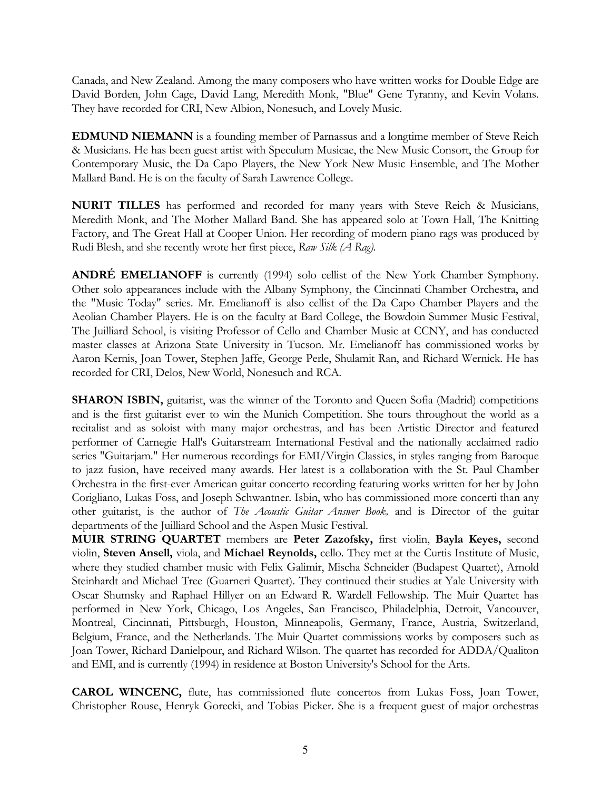Canada, and New Zealand. Among the many composers who have written works for Double Edge are David Borden, John Cage, David Lang, Meredith Monk, "Blue" Gene Tyranny, and Kevin Volans. They have recorded for CRI, New Albion, Nonesuch, and Lovely Music.

**EDMUND NIEMANN** is a founding member of Parnassus and a longtime member of Steve Reich & Musicians. He has been guest artist with Speculum Musicae, the New Music Consort, the Group for Contemporary Music, the Da Capo Players, the New York New Music Ensemble, and The Mother Mallard Band. He is on the faculty of Sarah Lawrence College.

**NURIT TILLES** has performed and recorded for many years with Steve Reich & Musicians, Meredith Monk, and The Mother Mallard Band. She has appeared solo at Town Hall, The Knitting Factory, and The Great Hall at Cooper Union. Her recording of modern piano rags was produced by Rudi Blesh, and she recently wrote her first piece, *Raw Silk (A Rag).*

**ANDRÉ EMELIANOFF** is currently (1994) solo cellist of the New York Chamber Symphony. Other solo appearances include with the Albany Symphony, the Cincinnati Chamber Orchestra, and the "Music Today" series. Mr. Emelianoff is also cellist of the Da Capo Chamber Players and the Aeolian Chamber Players. He is on the faculty at Bard College, the Bowdoin Summer Music Festival, The Juilliard School, is visiting Professor of Cello and Chamber Music at CCNY, and has conducted master classes at Arizona State University in Tucson. Mr. Emelianoff has commissioned works by Aaron Kernis, Joan Tower, Stephen Jaffe, George Perle, Shulamit Ran, and Richard Wernick. He has recorded for CRI, Delos, New World, Nonesuch and RCA.

**SHARON ISBIN,** guitarist, was the winner of the Toronto and Queen Sofia (Madrid) competitions and is the first guitarist ever to win the Munich Competition. She tours throughout the world as a recitalist and as soloist with many major orchestras, and has been Artistic Director and featured performer of Carnegie Hall's Guitarstream International Festival and the nationally acclaimed radio series "Guitarjam." Her numerous recordings for EMI/Virgin Classics, in styles ranging from Baroque to jazz fusion, have received many awards. Her latest is a collaboration with the St. Paul Chamber Orchestra in the first-ever American guitar concerto recording featuring works written for her by John Corigliano, Lukas Foss, and Joseph Schwantner. Isbin, who has commissioned more concerti than any other guitarist, is the author of *The Acoustic Guitar Answer Book,* and is Director of the guitar departments of the Juilliard School and the Aspen Music Festival.

**MUIR STRING QUARTET** members are **Peter Zazofsky,** first violin, **Bayla Keyes,** second violin, **Steven Ansell,** viola, and **Michael Reynolds,** cello. They met at the Curtis Institute of Music, where they studied chamber music with Felix Galimir, Mischa Schneider (Budapest Quartet), Arnold Steinhardt and Michael Tree (Guarneri Quartet). They continued their studies at Yale University with Oscar Shumsky and Raphael Hillyer on an Edward R. Wardell Fellowship. The Muir Quartet has performed in New York, Chicago, Los Angeles, San Francisco, Philadelphia, Detroit, Vancouver, Montreal, Cincinnati, Pittsburgh, Houston, Minneapolis, Germany, France, Austria, Switzerland, Belgium, France, and the Netherlands. The Muir Quartet commissions works by composers such as Joan Tower, Richard Danielpour, and Richard Wilson. The quartet has recorded for ADDA/Qualiton and EMI, and is currently (1994) in residence at Boston University's School for the Arts.

**CAROL WINCENC,** flute, has commissioned flute concertos from Lukas Foss, Joan Tower, Christopher Rouse, Henryk Gorecki, and Tobias Picker. She is a frequent guest of major orchestras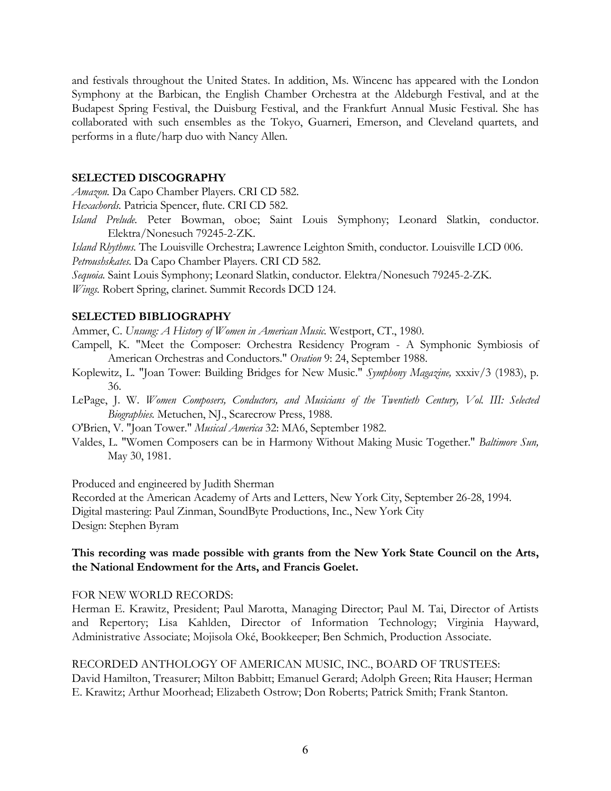and festivals throughout the United States. In addition, Ms. Wincenc has appeared with the London Symphony at the Barbican, the English Chamber Orchestra at the Aldeburgh Festival, and at the Budapest Spring Festival, the Duisburg Festival, and the Frankfurt Annual Music Festival. She has collaborated with such ensembles as the Tokyo, Guarneri, Emerson, and Cleveland quartets, and performs in a flute/harp duo with Nancy Allen.

#### **SELECTED DISCOGRAPHY**

*Amazon.* Da Capo Chamber Players. CRI CD 582.

*Hexachords.* Patricia Spencer, flute. CRI CD 582.

*Island Prelude.* Peter Bowman, oboe; Saint Louis Symphony; Leonard Slatkin, conductor. Elektra/Nonesuch 79245-2-ZK.

*Island Rhythms.* The Louisville Orchestra; Lawrence Leighton Smith, conductor. Louisville LCD 006.

*Petroushskates.* Da Capo Chamber Players. CRI CD 582.

*Sequoia.* Saint Louis Symphony; Leonard Slatkin, conductor. Elektra/Nonesuch 79245-2-ZK.

*Wings.* Robert Spring, clarinet. Summit Records DCD 124.

## **SELECTED BIBLIOGRAPHY**

Ammer, C. *Unsung: A History of Women in American Music.* Westport, CT., 1980.

- Campell, K. "Meet the Composer: Orchestra Residency Program A Symphonic Symbiosis of American Orchestras and Conductors." *Ovation* 9: 24, September 1988.
- Koplewitz, L. "Joan Tower: Building Bridges for New Music." *Symphony Magazine,* xxxiv/3 (1983), p. 36.
- LePage, J. W. *Women Composers, Conductors, and Musicians of the Twentieth Century, Vol. III: Selected Biographies.* Metuchen, NJ., Scarecrow Press, 1988.
- O'Brien, V. "Joan Tower." *Musical America* 32: MA6, September 1982.
- Valdes, L. "Women Composers can be in Harmony Without Making Music Together." *Baltimore Sun,* May 30, 1981.

Produced and engineered by Judith Sherman

Recorded at the American Academy of Arts and Letters, New York City, September 26-28, 1994. Digital mastering: Paul Zinman, SoundByte Productions, Inc., New York City Design: Stephen Byram

## **This recording was made possible with grants from the New York State Council on the Arts, the National Endowment for the Arts, and Francis Goelet.**

## FOR NEW WORLD RECORDS:

Herman E. Krawitz, President; Paul Marotta, Managing Director; Paul M. Tai, Director of Artists and Repertory; Lisa Kahlden, Director of Information Technology; Virginia Hayward, Administrative Associate; Mojisola Oké, Bookkeeper; Ben Schmich, Production Associate.

RECORDED ANTHOLOGY OF AMERICAN MUSIC, INC., BOARD OF TRUSTEES: David Hamilton, Treasurer; Milton Babbitt; Emanuel Gerard; Adolph Green; Rita Hauser; Herman E. Krawitz; Arthur Moorhead; Elizabeth Ostrow; Don Roberts; Patrick Smith; Frank Stanton.